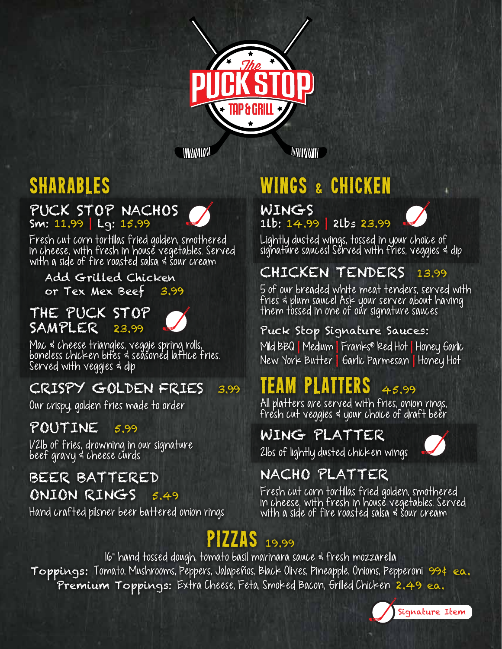

*HINNIBW* 

*MITTANTI* **D** 

## sharables

### PUCK STOP NACHOS

Sm: 11.99 | Lg: 15.99

Fresh cut corn tortillas fried golden, smothered in cheese, with fresh in house vegetables. Served with a side of fire roasted salsa & sour cream

### Add Grilled Chicken

or Tex Mex Beef 3.99

#### THE PUCK STOP SAMPLER 23.99

Mac & cheese triangles, veggie spring rolls, boneless chicken bites & seasoned lattice fries. Served with veggies & dip

### CRISPY GOLDEN FRIES 3.99

Our crispy, golden fries made to order

### POUTINE 5.99

1/2lb of fries, drowning in our signature beef gravy & cheese curds

### BEER BATTERED ONION RINGS 5.49

Hand crafted pilsner beer battered onion rings

## wings & chicken

#### WINGS 1lb: 14.99 | 2lbs 23.99



Lightly dusted wings, tossed in your choice of signature sauces! Served with fries, veggies & dip

### CHICKEN TENDERS 13.99

5 of our breaded white meat tenders, served with fries & plum sauce! Ask your server about having them tossed in one of our signature sauces

#### Puck Stop Signature Sauces:

Mild BBQ | Medium | Franks® Red Hot | Honey Garlic New York Butter | Garlic Parmesan | Honey Hot

## TEAM PLATTERS  $45.99$

All platters are served with fries, onion rings, fresh cut veggies & your choice of draft beer

### WING PLATTER

2lbs of lightly dusted chicken wings



### NACHO PLATTER

Fresh cut corn tortillas fried golden, smothered in cheese, with fresh in house vegetables. Served with a side of fire roasted salsa & sour cream

## pizzas 19.99

16" hand tossed dough, tomato basil marinara sauce & fresh mozzarella Toppings: Tomato, Mushrooms, Peppers, Jalapeños, Black Olives, Pineapple, Onions, Pepperoni 99¢ ea. Premium Toppings: Extra Cheese, Feta, Smoked Bacon, Grilled Chicken 2.49 ea.